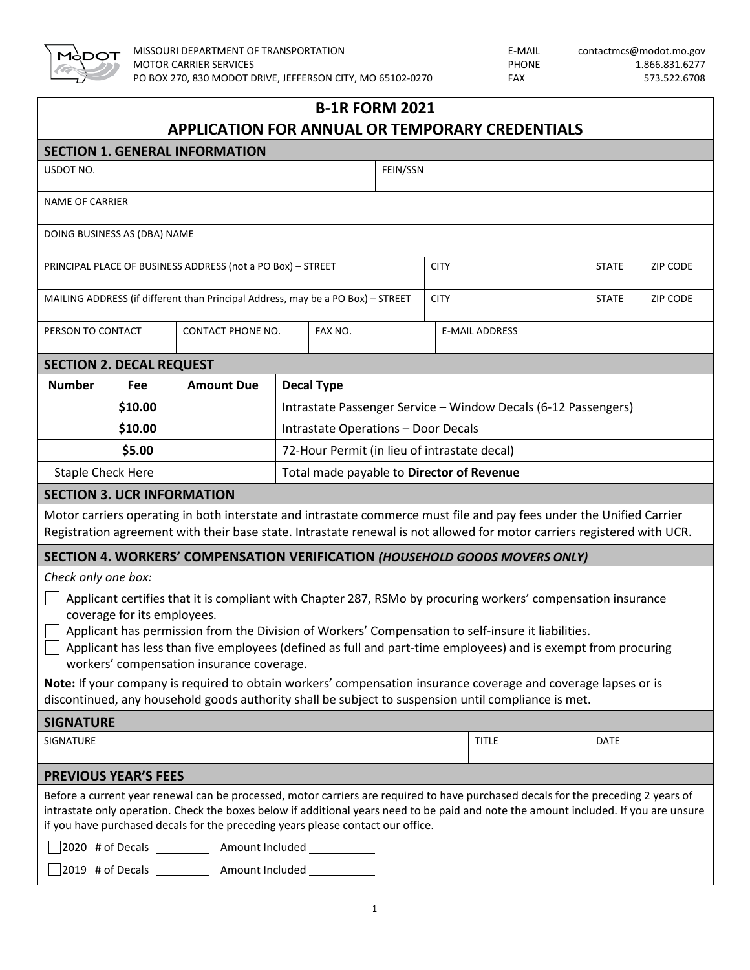

| <b>B-1R FORM 2021</b>                                       |                                   |                                                                                 |                                                                |         |          |  |                                                                                                                                                                                                                                                                                                                                                                                                                                                                                                                                                                     |              |                 |  |
|-------------------------------------------------------------|-----------------------------------|---------------------------------------------------------------------------------|----------------------------------------------------------------|---------|----------|--|---------------------------------------------------------------------------------------------------------------------------------------------------------------------------------------------------------------------------------------------------------------------------------------------------------------------------------------------------------------------------------------------------------------------------------------------------------------------------------------------------------------------------------------------------------------------|--------------|-----------------|--|
| <b>APPLICATION FOR ANNUAL OR TEMPORARY CREDENTIALS</b>      |                                   |                                                                                 |                                                                |         |          |  |                                                                                                                                                                                                                                                                                                                                                                                                                                                                                                                                                                     |              |                 |  |
|                                                             |                                   | <b>SECTION 1. GENERAL INFORMATION</b>                                           |                                                                |         |          |  |                                                                                                                                                                                                                                                                                                                                                                                                                                                                                                                                                                     |              |                 |  |
| USDOT NO.                                                   |                                   |                                                                                 |                                                                |         | FEIN/SSN |  |                                                                                                                                                                                                                                                                                                                                                                                                                                                                                                                                                                     |              |                 |  |
| <b>NAME OF CARRIER</b>                                      |                                   |                                                                                 |                                                                |         |          |  |                                                                                                                                                                                                                                                                                                                                                                                                                                                                                                                                                                     |              |                 |  |
|                                                             | DOING BUSINESS AS (DBA) NAME      |                                                                                 |                                                                |         |          |  |                                                                                                                                                                                                                                                                                                                                                                                                                                                                                                                                                                     |              |                 |  |
| PRINCIPAL PLACE OF BUSINESS ADDRESS (not a PO Box) - STREET |                                   |                                                                                 |                                                                |         |          |  | <b>CITY</b>                                                                                                                                                                                                                                                                                                                                                                                                                                                                                                                                                         | <b>STATE</b> | <b>ZIP CODE</b> |  |
|                                                             |                                   | MAILING ADDRESS (if different than Principal Address, may be a PO Box) - STREET |                                                                |         |          |  | <b>CITY</b>                                                                                                                                                                                                                                                                                                                                                                                                                                                                                                                                                         | <b>STATE</b> | <b>ZIP CODE</b> |  |
| PERSON TO CONTACT                                           |                                   | CONTACT PHONE NO.                                                               |                                                                | FAX NO. |          |  | <b>E-MAIL ADDRESS</b>                                                                                                                                                                                                                                                                                                                                                                                                                                                                                                                                               |              |                 |  |
|                                                             | <b>SECTION 2. DECAL REQUEST</b>   |                                                                                 |                                                                |         |          |  |                                                                                                                                                                                                                                                                                                                                                                                                                                                                                                                                                                     |              |                 |  |
| <b>Number</b>                                               | Fee                               | <b>Amount Due</b>                                                               | <b>Decal Type</b>                                              |         |          |  |                                                                                                                                                                                                                                                                                                                                                                                                                                                                                                                                                                     |              |                 |  |
|                                                             | \$10.00                           |                                                                                 | Intrastate Passenger Service - Window Decals (6-12 Passengers) |         |          |  |                                                                                                                                                                                                                                                                                                                                                                                                                                                                                                                                                                     |              |                 |  |
|                                                             | \$10.00                           |                                                                                 | Intrastate Operations - Door Decals                            |         |          |  |                                                                                                                                                                                                                                                                                                                                                                                                                                                                                                                                                                     |              |                 |  |
|                                                             | \$5.00                            |                                                                                 | 72-Hour Permit (in lieu of intrastate decal)                   |         |          |  |                                                                                                                                                                                                                                                                                                                                                                                                                                                                                                                                                                     |              |                 |  |
| <b>Staple Check Here</b>                                    |                                   | Total made payable to Director of Revenue                                       |                                                                |         |          |  |                                                                                                                                                                                                                                                                                                                                                                                                                                                                                                                                                                     |              |                 |  |
|                                                             | <b>SECTION 3. UCR INFORMATION</b> |                                                                                 |                                                                |         |          |  |                                                                                                                                                                                                                                                                                                                                                                                                                                                                                                                                                                     |              |                 |  |
|                                                             |                                   |                                                                                 |                                                                |         |          |  | Motor carriers operating in both interstate and intrastate commerce must file and pay fees under the Unified Carrier<br>Registration agreement with their base state. Intrastate renewal is not allowed for motor carriers registered with UCR.                                                                                                                                                                                                                                                                                                                     |              |                 |  |
|                                                             |                                   |                                                                                 |                                                                |         |          |  | SECTION 4. WORKERS' COMPENSATION VERIFICATION (HOUSEHOLD GOODS MOVERS ONLY)                                                                                                                                                                                                                                                                                                                                                                                                                                                                                         |              |                 |  |
| Check only one box:                                         | coverage for its employees.       | workers' compensation insurance coverage.                                       |                                                                |         |          |  | Applicant certifies that it is compliant with Chapter 287, RSMo by procuring workers' compensation insurance<br>Applicant has permission from the Division of Workers' Compensation to self-insure it liabilities.<br>$\Box$ Applicant has less than five employees (defined as full and part-time employees) and is exempt from procuring<br>Note: If your company is required to obtain workers' compensation insurance coverage and coverage lapses or is<br>discontinued, any household goods authority shall be subject to suspension until compliance is met. |              |                 |  |
| <b>SIGNATURE</b>                                            |                                   |                                                                                 |                                                                |         |          |  |                                                                                                                                                                                                                                                                                                                                                                                                                                                                                                                                                                     |              |                 |  |
| SIGNATURE                                                   |                                   |                                                                                 |                                                                |         |          |  | <b>TITLE</b>                                                                                                                                                                                                                                                                                                                                                                                                                                                                                                                                                        | <b>DATE</b>  |                 |  |
|                                                             | <b>PREVIOUS YEAR'S FEES</b>       |                                                                                 |                                                                |         |          |  |                                                                                                                                                                                                                                                                                                                                                                                                                                                                                                                                                                     |              |                 |  |
|                                                             |                                   | if you have purchased decals for the preceding years please contact our office. |                                                                |         |          |  | Before a current year renewal can be processed, motor carriers are required to have purchased decals for the preceding 2 years of<br>intrastate only operation. Check the boxes below if additional years need to be paid and note the amount included. If you are unsure                                                                                                                                                                                                                                                                                           |              |                 |  |
| 2019 # of Decals _____________ Amount Included ____________ |                                   |                                                                                 |                                                                |         |          |  |                                                                                                                                                                                                                                                                                                                                                                                                                                                                                                                                                                     |              |                 |  |